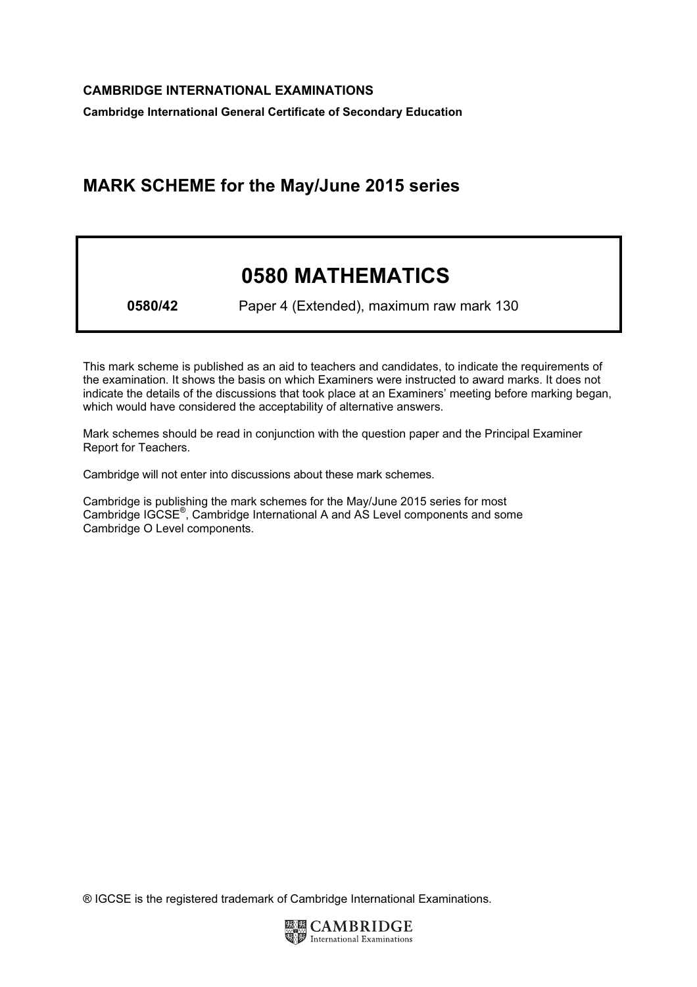Cambridge International General Certificate of Secondary Education

## MARK SCHEME for the May/June 2015 series

# 0580 MATHEMATICS

0580/42 Paper 4 (Extended), maximum raw mark 130

This mark scheme is published as an aid to teachers and candidates, to indicate the requirements of the examination. It shows the basis on which Examiners were instructed to award marks. It does not indicate the details of the discussions that took place at an Examiners' meeting before marking began, which would have considered the acceptability of alternative answers.

Mark schemes should be read in conjunction with the question paper and the Principal Examiner Report for Teachers.

Cambridge will not enter into discussions about these mark schemes.

Cambridge is publishing the mark schemes for the May/June 2015 series for most Cambridge IGCSE*®* , Cambridge International A and AS Level components and some Cambridge O Level components.

® IGCSE is the registered trademark of Cambridge International Examinations.

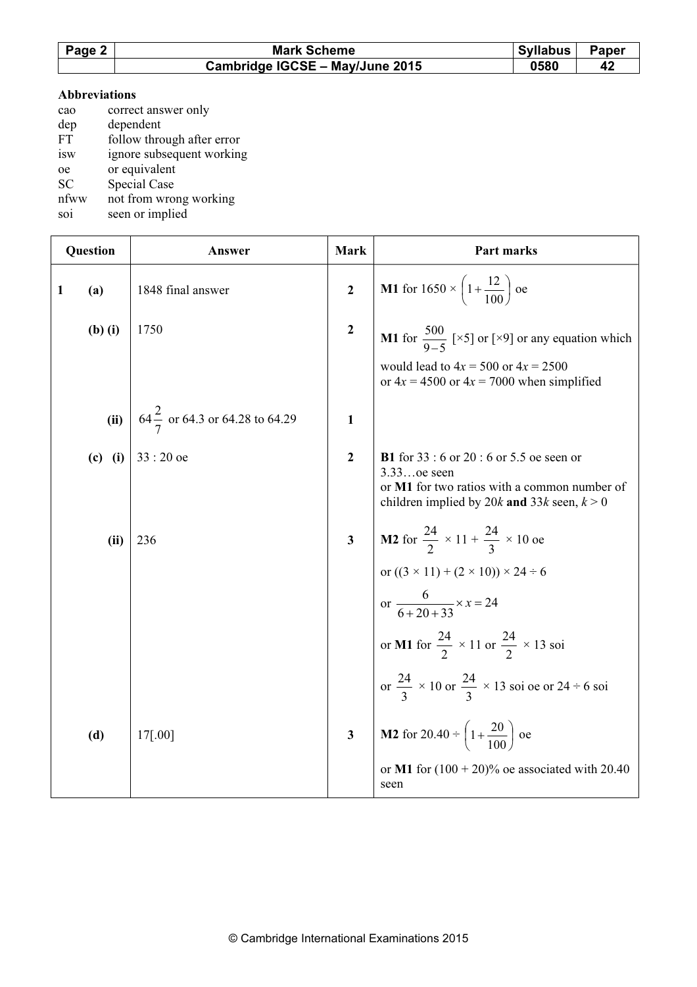| Page 2 | <b>Mark Scheme</b>              | <b>Syllabus</b> | Paper |
|--------|---------------------------------|-----------------|-------|
|        | Cambridge IGCSE - May/June 2015 | 0580            |       |

#### Abbreviations

| cao       | correct answer only        |
|-----------|----------------------------|
| dep       | dependent                  |
| <b>FT</b> | follow through after error |
| isw       | ignore subsequent working  |
| oe        | or equivalent              |
| <b>SC</b> | Special Case               |
| nfww      | not from wrong working     |

soi seen or implied

|              | Question    | Answer                                    | Mark           | Part marks                                                                                                                                                             |
|--------------|-------------|-------------------------------------------|----------------|------------------------------------------------------------------------------------------------------------------------------------------------------------------------|
| $\mathbf{1}$ | (a)         | 1848 final answer                         | $\overline{2}$ | <b>M1</b> for $1650 \times \left(1 + \frac{12}{100}\right)$ oe                                                                                                         |
|              | $(b)$ $(i)$ | 1750                                      | $\overline{2}$ | <b>M1</b> for $\frac{500}{9-5}$ [×5] or [×9] or any equation which                                                                                                     |
|              |             |                                           |                | would lead to $4x = 500$ or $4x = 2500$<br>or $4x = 4500$ or $4x = 7000$ when simplified                                                                               |
|              | (ii)        | $64\frac{2}{7}$ or 64.3 or 64.28 to 64.29 | $\mathbf{1}$   |                                                                                                                                                                        |
|              | $(c)$ (i)   | $33:20$ oe                                | $\overline{2}$ | <b>B1</b> for $33 : 6$ or $20 : 6$ or $5.5$ oe seen or<br>3.33oe seen<br>or M1 for two ratios with a common number of<br>children implied by 20k and 33k seen, $k > 0$ |
|              | (ii)        | 236                                       | $\mathbf{3}$   | <b>M2</b> for $\frac{24}{2} \times 11 + \frac{24}{3} \times 10$ oe                                                                                                     |
|              |             |                                           |                | or $((3 \times 11) + (2 \times 10)) \times 24 \div 6$<br>or $\frac{6}{6+20+33} \times x = 24$                                                                          |
|              |             |                                           |                | or M1 for $\frac{24}{2} \times 11$ or $\frac{24}{2} \times 13$ soi                                                                                                     |
|              |             |                                           |                | or $\frac{24}{3} \times 10$ or $\frac{24}{3} \times 13$ soi oe or 24 ÷ 6 soi                                                                                           |
|              | (d)         | 17[.00]                                   | $\mathbf{3}$   | <b>M2</b> for 20.40 $\div$ $\left(1+\frac{20}{100}\right)$ oe                                                                                                          |
|              |             |                                           |                | or M1 for $(100 + 20)$ % oe associated with 20.40<br>seen                                                                                                              |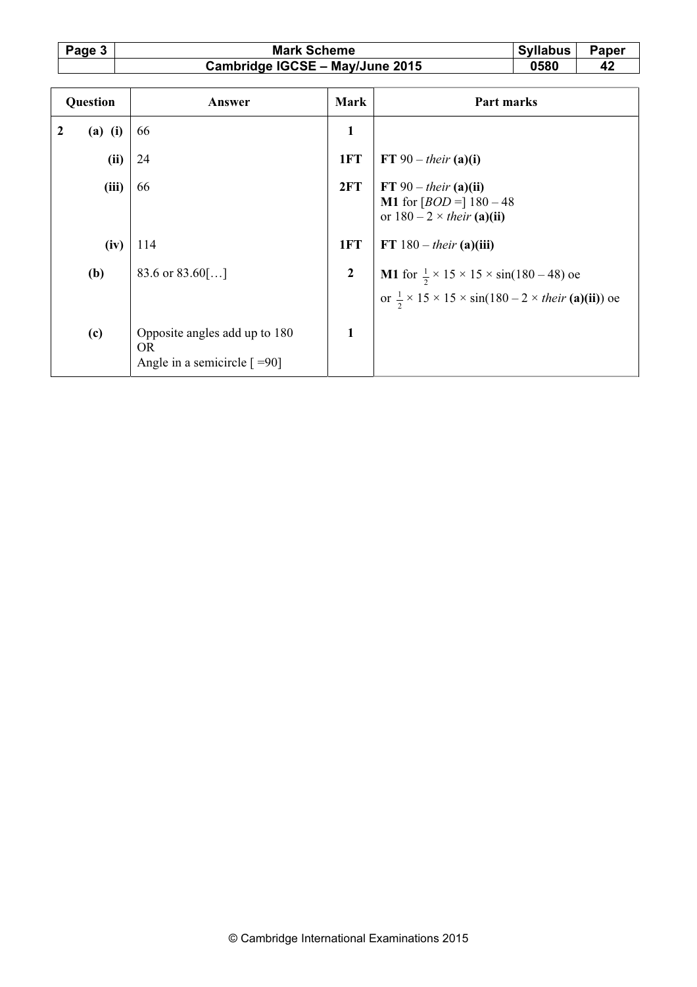| Page 3 | <b>Mark Scheme</b>              | <b>Syllabus</b> | Paper |
|--------|---------------------------------|-----------------|-------|
|        | Cambridge IGCSE - May/June 2015 | 0580            |       |

| Question     |           | Answer                                                                                  | <b>Mark</b>      | Part marks                                                                                                                                                    |
|--------------|-----------|-----------------------------------------------------------------------------------------|------------------|---------------------------------------------------------------------------------------------------------------------------------------------------------------|
| $\mathbf{2}$ | $(a)$ (i) | 66                                                                                      | $\mathbf{1}$     |                                                                                                                                                               |
|              | (ii)      | 24                                                                                      | 1FT              | FT 90 – their $(a)(i)$                                                                                                                                        |
|              | (iii)     | 66                                                                                      | 2FT              | FT $90 - their$ (a)(ii)<br><b>M1</b> for $[BOD =] 180 - 48$<br>or $180 - 2 \times their$ (a)(ii)                                                              |
|              | (iv)      | 114                                                                                     | 1FT              | FT $180 - their$ (a)(iii)                                                                                                                                     |
|              | (b)       | 83.6 or $83.60$ []                                                                      | $\boldsymbol{2}$ | <b>M1</b> for $\frac{1}{2} \times 15 \times 15 \times \sin(180 - 48)$ oe<br>or $\frac{1}{2} \times 15 \times 15 \times \sin(180 - 2 \times their$ (a)(ii)) oe |
|              | (c)       | Opposite angles add up to 180<br><b>OR</b><br>Angle in a semicircle $\lceil =90 \rceil$ | $\mathbf{1}$     |                                                                                                                                                               |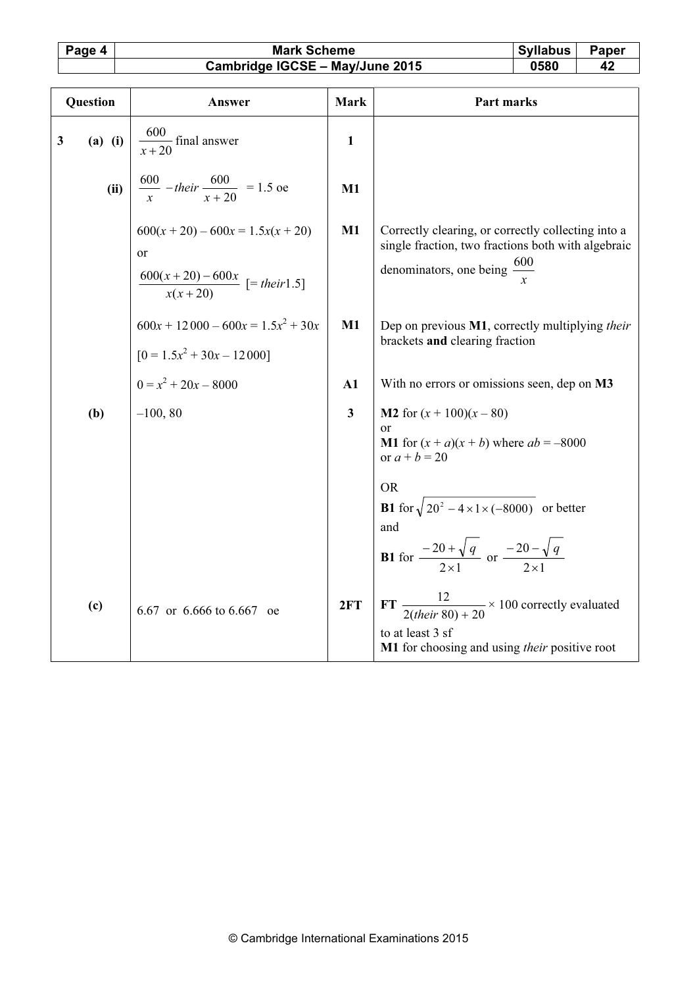## Page 4 Mark Scheme Syllabus Paper<br>Cambridge IGCSE – May/June 2015 0580 42 Cambridge IGCSE - May/June 2015

| Question     |           | Answer                                                                                                | <b>Mark</b>             | Part marks                                                                                                                                                                                                                                                                                           |
|--------------|-----------|-------------------------------------------------------------------------------------------------------|-------------------------|------------------------------------------------------------------------------------------------------------------------------------------------------------------------------------------------------------------------------------------------------------------------------------------------------|
| $\mathbf{3}$ | $(a)$ (i) | $\frac{600}{x+20}$ final answer                                                                       | $\mathbf{1}$            |                                                                                                                                                                                                                                                                                                      |
|              | (ii)      | $\frac{600}{r} - their \frac{600}{r+20} = 1.5$ oe                                                     | M1                      |                                                                                                                                                                                                                                                                                                      |
|              |           | $600(x + 20) - 600x = 1.5x(x + 20)$<br><sub>or</sub><br>$\frac{600(x+20)-600x}{x(x+20)}$ [= their1.5] | $M1$                    | Correctly clearing, or correctly collecting into a<br>single fraction, two fractions both with algebraic<br>denominators, one being $\frac{600}{ }$                                                                                                                                                  |
|              |           | $600x + 12000 - 600x = 1.5x^2 + 30x$<br>$[0 = 1.5x^2 + 30x - 12000]$                                  | $M1$                    | Dep on previous M1, correctly multiplying their<br>brackets and clearing fraction                                                                                                                                                                                                                    |
|              |           | $0 = x^2 + 20x - 8000$                                                                                | A1                      | With no errors or omissions seen, dep on M3                                                                                                                                                                                                                                                          |
|              | (b)       | $-100, 80$                                                                                            | $\overline{\mathbf{3}}$ | <b>M2</b> for $(x + 100)(x - 80)$<br>or<br><b>M1</b> for $(x + a)(x + b)$ where $ab = -8000$<br>or $a + b = 20$<br><b>OR</b><br><b>B1</b> for $\sqrt{20^2 - 4 \times 1 \times (-8000)}$ or better<br>and<br><b>B1</b> for $\frac{-20 + \sqrt{q}}{2 \times 1}$ or $\frac{-20 - \sqrt{q}}{2 \times 1}$ |
|              | (c)       | 6.67 or 6.666 to 6.667 oe                                                                             | 2FT                     | FT $\frac{12}{2(heir 80) + 20} \times 100$ correctly evaluated<br>to at least 3 sf<br>M1 for choosing and using <i>their</i> positive root                                                                                                                                                           |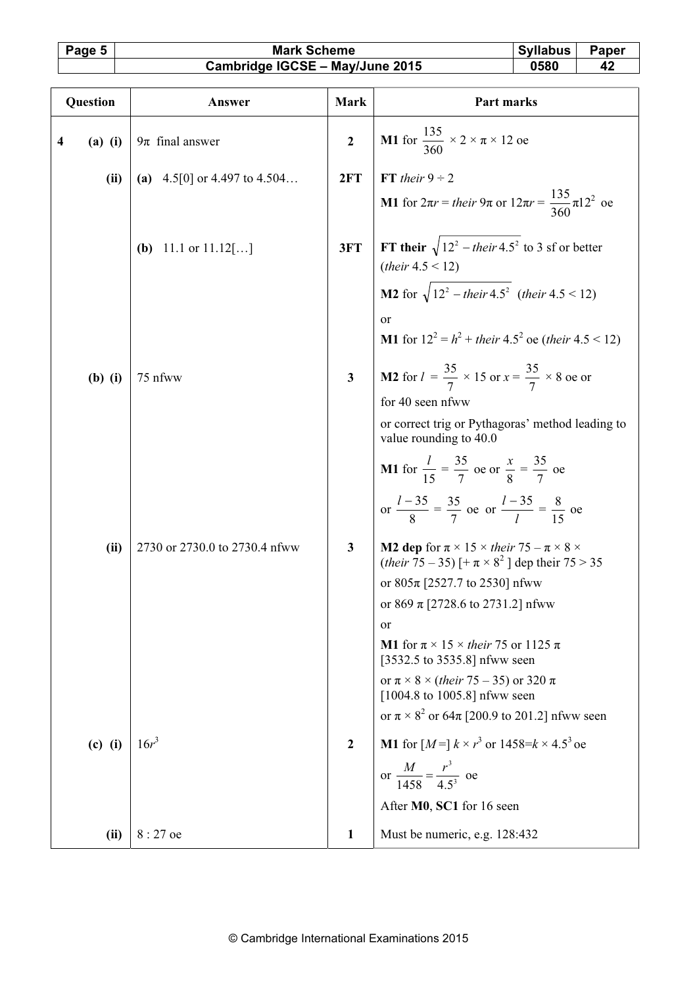### Page 5 | Mark Scheme | Syllabus Paper Cambridge IGCSE – May/June 2015 0580 42

| SVIIADUS | abel |
|----------|------|
|          |      |

| Question                             | Answer                          | <b>Mark</b>             | Part marks                                                                                                                                                   |
|--------------------------------------|---------------------------------|-------------------------|--------------------------------------------------------------------------------------------------------------------------------------------------------------|
| $\overline{\mathbf{4}}$<br>$(a)$ (i) | $9\pi$ final answer             | $\overline{2}$          | M1 for $\frac{135}{360} \times 2 \times \pi \times 12$ oe                                                                                                    |
| (ii)                                 | (a) $4.5[0]$ or 4.497 to 4.504  | 2FT                     | FT their $9 \div 2$                                                                                                                                          |
|                                      |                                 |                         | <b>M1</b> for $2\pi r =$ their $9\pi$ or $12\pi r = \frac{135}{360}\pi 12^2$ oe                                                                              |
|                                      | ( <b>b</b> ) 11.1 or $11.12$ [] | 3FT                     | FT their $\sqrt{12^2 - \text{their } 4.5^2}$ to 3 sf or better<br>( <i>their</i> $4.5 < 12$ )                                                                |
|                                      |                                 |                         | <b>M2</b> for $\sqrt{12^2 - \text{their } 4.5^2}$ (their 4.5 < 12)                                                                                           |
|                                      |                                 |                         | <sub>or</sub>                                                                                                                                                |
|                                      |                                 |                         | <b>M1</b> for $12^2 = h^2 + \text{their } 4.5^2$ oe (their $4.5 \le 12$ )                                                                                    |
| $(b)$ $(i)$                          | 75 nfww                         | $\overline{\mathbf{3}}$ | <b>M2</b> for $l = \frac{35}{7} \times 15$ or $x = \frac{35}{7} \times 8$ oe or                                                                              |
|                                      |                                 |                         | for 40 seen nfww                                                                                                                                             |
|                                      |                                 |                         | or correct trig or Pythagoras' method leading to<br>value rounding to 40.0                                                                                   |
|                                      |                                 |                         | <b>M1</b> for $\frac{l}{15} = \frac{35}{7}$ oe or $\frac{x}{8} = \frac{35}{7}$ oe                                                                            |
|                                      |                                 |                         | or $\frac{l-35}{8} = \frac{35}{7}$ oe or $\frac{l-35}{l} = \frac{8}{15}$ oe                                                                                  |
| (ii)                                 | 2730 or 2730.0 to 2730.4 nfww   | $\mathbf{3}$            | <b>M2 dep</b> for $\pi \times 15 \times$ their 75 – $\pi \times 8 \times$<br>( <i>their</i> $\overline{7}5 - 35$ ) [+ $\pi \times 8^2$ ] dep their $75 > 35$ |
|                                      |                                 |                         | or $805\pi$ [2527.7 to 2530] nfww                                                                                                                            |
|                                      |                                 |                         | or 869 $\pi$ [2728.6 to 2731.2] nfww<br><sub>or</sub>                                                                                                        |
|                                      |                                 |                         | <b>M1</b> for $\pi \times 15 \times$ their 75 or 1125 $\pi$                                                                                                  |
|                                      |                                 |                         | [3532.5 to 3535.8] nfww seen                                                                                                                                 |
|                                      |                                 |                         | or $\pi \times 8 \times (their 75-35)$ or 320 $\pi$<br>$[1004.8 \text{ to } 1005.8]$ nfww seen                                                               |
|                                      |                                 |                         | or $\pi \times 8^2$ or 64 $\pi$ [200.9 to 201.2] nfww seen                                                                                                   |
| $(c)$ (i)                            | $16r^3$                         | $\mathbf{2}$            | M1 for $[M=] k \times r^3$ or $1458=k \times 4.5^3$ oe                                                                                                       |
|                                      |                                 |                         | or $\frac{M}{1458} = \frac{r^3}{4.5^3}$ oe                                                                                                                   |
|                                      |                                 |                         | After M0, SC1 for 16 seen                                                                                                                                    |
| (ii)                                 | $8:27$ oe                       | 1                       | Must be numeric, e.g. 128:432                                                                                                                                |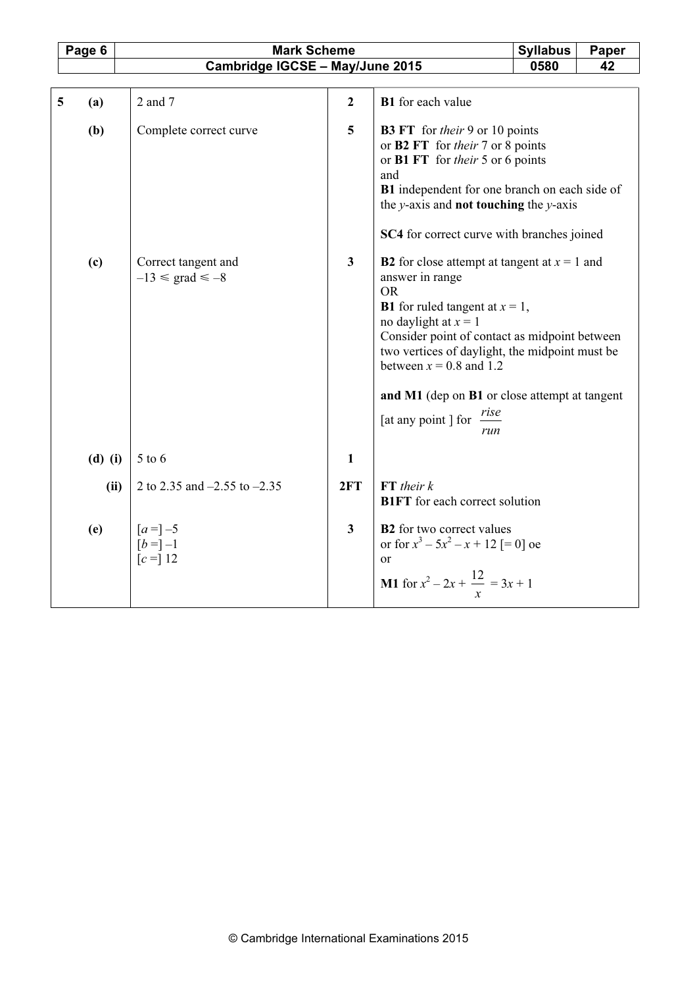|   | Page 6    | <b>Mark Scheme</b>                                    |                         |                                                                                                                                                                                                                                                                                                                                                                                             | <b>Syllabus</b> | Paper |
|---|-----------|-------------------------------------------------------|-------------------------|---------------------------------------------------------------------------------------------------------------------------------------------------------------------------------------------------------------------------------------------------------------------------------------------------------------------------------------------------------------------------------------------|-----------------|-------|
|   |           | Cambridge IGCSE - May/June 2015                       |                         |                                                                                                                                                                                                                                                                                                                                                                                             | 0580            | 42    |
|   |           |                                                       |                         |                                                                                                                                                                                                                                                                                                                                                                                             |                 |       |
| 5 | (a)       | 2 and 7                                               | $\overline{2}$          | <b>B1</b> for each value                                                                                                                                                                                                                                                                                                                                                                    |                 |       |
|   | (b)       | Complete correct curve                                | 5                       | <b>B3 FT</b> for their 9 or 10 points<br>or B2 FT for their 7 or 8 points<br>or <b>B1</b> FT for <i>their</i> 5 or 6 points<br>and<br>B1 independent for one branch on each side of<br>the $y$ -axis and <b>not touching</b> the $y$ -axis<br><b>SC4</b> for correct curve with branches joined                                                                                             |                 |       |
|   | (c)       | Correct tangent and<br>$-13 \leq \text{grad} \leq -8$ | $\overline{\mathbf{3}}$ | <b>B2</b> for close attempt at tangent at $x = 1$ and<br>answer in range<br><b>OR</b><br><b>B1</b> for ruled tangent at $x = 1$ ,<br>no daylight at $x = 1$<br>Consider point of contact as midpoint between<br>two vertices of daylight, the midpoint must be<br>between $x = 0.8$ and 1.2<br>and M1 (dep on B1 or close attempt at tangent<br>[at any point ] for $\frac{rise}{ }$<br>run |                 |       |
|   | $(d)$ (i) | $5$ to $6$                                            | $\mathbf{1}$            |                                                                                                                                                                                                                                                                                                                                                                                             |                 |       |
|   | (ii)      | 2 to 2.35 and $-2.55$ to $-2.35$                      | 2FT                     | $FT$ their $k$<br><b>B1FT</b> for each correct solution                                                                                                                                                                                                                                                                                                                                     |                 |       |
|   | (e)       | $[a=]-5$<br>$[b = ] -1$<br>$[c = 12]$                 | $\overline{\mathbf{3}}$ | <b>B2</b> for two correct values<br>or for $x^3 - 5x^2 - x + 12$ [= 0] oe<br>$\alpha$ r<br><b>M1</b> for $x^2 - 2x + \frac{12}{x} = 3x + 1$                                                                                                                                                                                                                                                 |                 |       |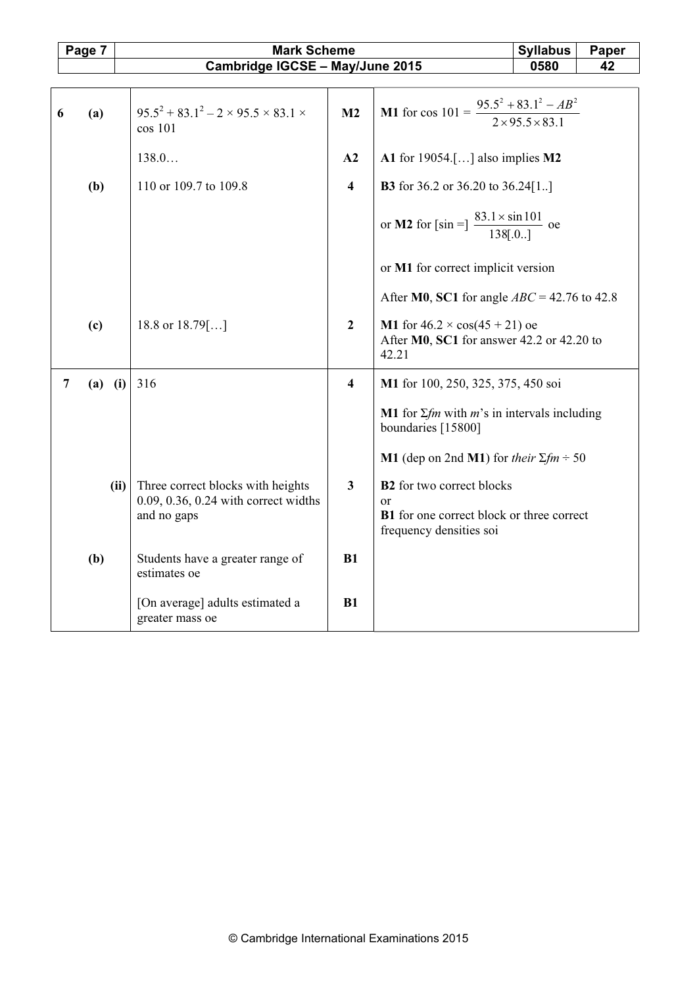|                | Page 7      | <b>Mark Scheme</b>                                                                               |                         |                                                                                                  | <b>Syllabus</b> | Paper |
|----------------|-------------|--------------------------------------------------------------------------------------------------|-------------------------|--------------------------------------------------------------------------------------------------|-----------------|-------|
|                |             | Cambridge IGCSE - May/June 2015                                                                  |                         |                                                                                                  | 0580            | 42    |
|                |             |                                                                                                  |                         |                                                                                                  |                 |       |
| 6              | (a)         | $95.5^2 + 83.1^2 - 2 \times 95.5 \times 83.1 \times$<br>cos 101                                  | M2                      | M1 for cos $101 = \frac{95.5^2 + 83.1^2 - AB^2}{2 \times 95.5 \times 83.1}$                      |                 |       |
|                |             | 138.0                                                                                            | A2                      | A1 for $19054$ .[] also implies M2                                                               |                 |       |
|                | (b)         | 110 or 109.7 to 109.8                                                                            | $\overline{\mathbf{4}}$ | <b>B3</b> for 36.2 or 36.20 to 36.24 $[1]$                                                       |                 |       |
|                |             |                                                                                                  |                         | or <b>M2</b> for [sin =] $\frac{83.1 \times \sin 101}{138[.0]}$ oe                               |                 |       |
|                |             |                                                                                                  |                         | or M1 for correct implicit version                                                               |                 |       |
|                |             |                                                                                                  |                         | After M0, SC1 for angle $ABC = 42.76$ to 42.8                                                    |                 |       |
|                | (c)         | 18.8 or $18.79$ []                                                                               | $\overline{2}$          | M1 for $46.2 \times cos(45 + 21)$ oe<br>After M0, SC1 for answer 42.2 or 42.20 to<br>42.21       |                 |       |
| $\overline{7}$ | $(a)$ $(i)$ | 316                                                                                              | $\overline{\mathbf{4}}$ | M1 for 100, 250, 325, 375, 450 soi                                                               |                 |       |
|                |             |                                                                                                  |                         | <b>M1</b> for $\Sigma$ <i>fm</i> with <i>m</i> 's in intervals including<br>boundaries [15800]   |                 |       |
|                |             |                                                                                                  |                         | <b>M1</b> (dep on 2nd <b>M1</b> ) for their $\Sigma fm \div 50$                                  |                 |       |
|                |             | Three correct blocks with heights<br>(ii)<br>0.09, 0.36, 0.24 with correct widths<br>and no gaps | $\overline{\mathbf{3}}$ | <b>B2</b> for two correct blocks<br>$\alpha$<br><b>B1</b> for one correct block or three correct |                 |       |
|                |             |                                                                                                  |                         | frequency densities soi                                                                          |                 |       |
|                | (b)         | Students have a greater range of<br>estimates oe                                                 | B1                      |                                                                                                  |                 |       |
|                |             | [On average] adults estimated a<br>greater mass oe                                               | B1                      |                                                                                                  |                 |       |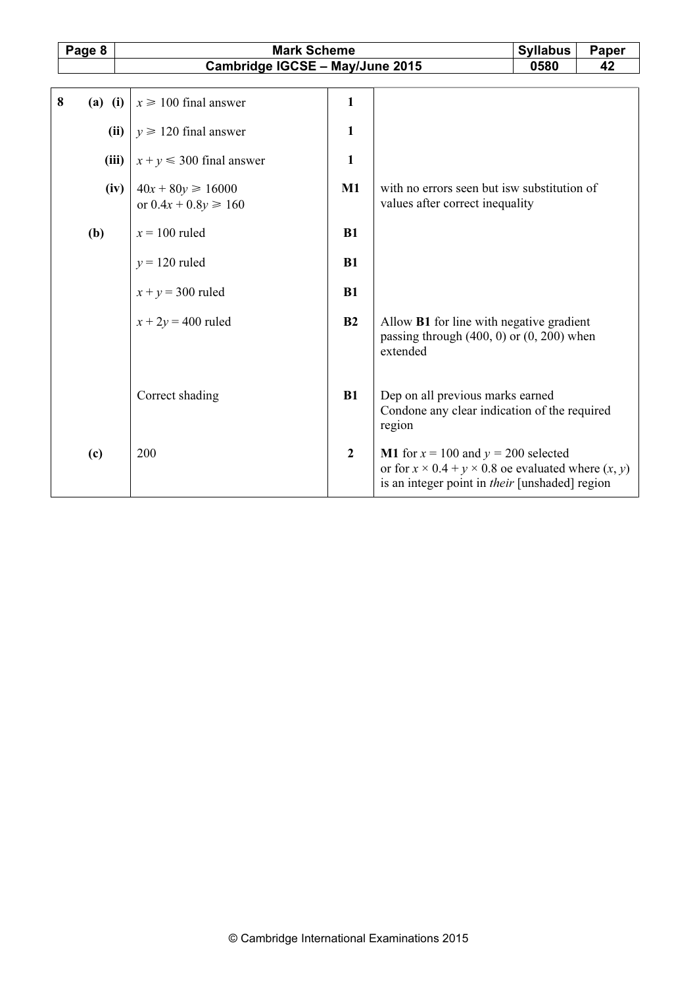|   | Page 8    | <b>Mark Scheme</b><br><b>Syllabus</b>             |                |                                                                                                                                                                             |      | <b>Paper</b> |
|---|-----------|---------------------------------------------------|----------------|-----------------------------------------------------------------------------------------------------------------------------------------------------------------------------|------|--------------|
|   |           | Cambridge IGCSE - May/June 2015                   |                |                                                                                                                                                                             | 0580 | 42           |
|   |           |                                                   |                |                                                                                                                                                                             |      |              |
| 8 | $(a)$ (i) | $x \ge 100$ final answer                          | $\mathbf{1}$   |                                                                                                                                                                             |      |              |
|   | (ii)      | $y \ge 120$ final answer                          | 1              |                                                                                                                                                                             |      |              |
|   | (iii)     | $x + y \le 300$ final answer                      | $\mathbf{1}$   |                                                                                                                                                                             |      |              |
|   | (iv)      | $40x + 80y \ge 16000$<br>or $0.4x + 0.8y \ge 160$ | $M1$           | with no errors seen but is w substitution of<br>values after correct inequality                                                                                             |      |              |
|   | (b)       | $x = 100$ ruled                                   | B1             |                                                                                                                                                                             |      |              |
|   |           | $y = 120$ ruled                                   | B1             |                                                                                                                                                                             |      |              |
|   |           | $x + y = 300$ ruled                               | B1             |                                                                                                                                                                             |      |              |
|   |           | $x + 2y = 400$ ruled                              | B2             | Allow <b>B1</b> for line with negative gradient<br>passing through $(400, 0)$ or $(0, 200)$ when<br>extended                                                                |      |              |
|   |           | Correct shading                                   | B1             | Dep on all previous marks earned<br>Condone any clear indication of the required<br>region                                                                                  |      |              |
|   | (c)       | 200                                               | $\overline{2}$ | <b>M1</b> for $x = 100$ and $y = 200$ selected<br>or for $x \times 0.4 + y \times 0.8$ oe evaluated where $(x, y)$<br>is an integer point in <i>their</i> [unshaded] region |      |              |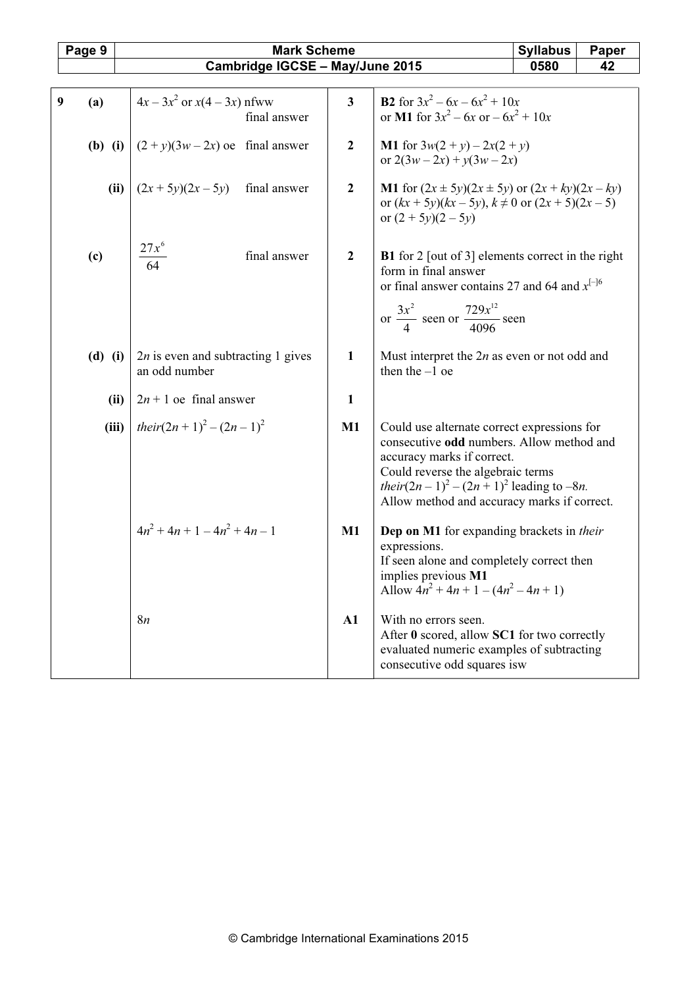|   | Page 9      | <b>Mark Scheme</b>                                    |                         |                                                                                                                                                                                                                                                                         | <b>Syllabus</b> | Paper |
|---|-------------|-------------------------------------------------------|-------------------------|-------------------------------------------------------------------------------------------------------------------------------------------------------------------------------------------------------------------------------------------------------------------------|-----------------|-------|
|   |             | Cambridge IGCSE - May/June 2015                       |                         |                                                                                                                                                                                                                                                                         | 0580            | 42    |
|   |             |                                                       |                         |                                                                                                                                                                                                                                                                         |                 |       |
| 9 | (a)         | $4x - 3x^2$ or $x(4 - 3x)$ nfww<br>final answer       | $\overline{\mathbf{3}}$ | <b>B2</b> for $3x^2 - 6x - 6x^2 + 10x$<br>or M1 for $3x^2 - 6x$ or $-6x^2 + 10x$                                                                                                                                                                                        |                 |       |
|   | $(b)$ $(i)$ | $(2+y)(3w-2x)$ oe final answer                        | $\overline{2}$          | <b>M1</b> for $3w(2 + y) - 2x(2 + y)$<br>or $2(3w-2x) + y(3w-2x)$                                                                                                                                                                                                       |                 |       |
|   | (ii)        | $(2x + 5y)(2x - 5y)$ final answer                     | $\overline{2}$          | <b>M1</b> for $(2x \pm 5y)(2x \pm 5y)$ or $(2x + ky)(2x - ky)$<br>or $(kx + 5y)(kx - 5y)$ , $k \ne 0$ or $(2x + 5)(2x - 5)$<br>or $(2 + 5y)(2 - 5y)$                                                                                                                    |                 |       |
|   | (c)         | $\frac{27x^6}{64}$<br>final answer                    | $\boldsymbol{2}$        | <b>B1</b> for 2 [out of 3] elements correct in the right<br>form in final answer<br>or final answer contains 27 and 64 and $x^{[-]6}$<br>or $\frac{3x^2}{4}$ seen or $\frac{729x^{12}}{4096}$ seen                                                                      |                 |       |
|   | $(d)$ $(i)$ | $2n$ is even and subtracting 1 gives<br>an odd number | $\mathbf{1}$            | Must interpret the $2n$ as even or not odd and<br>then the $-1$ oe                                                                                                                                                                                                      |                 |       |
|   | (ii)        | $2n + 1$ oe final answer                              | $\mathbf{1}$            |                                                                                                                                                                                                                                                                         |                 |       |
|   | (iii)       | their $(2n+1)^2 - (2n-1)^2$                           | $\mathbf{M1}$           | Could use alternate correct expressions for<br>consecutive odd numbers. Allow method and<br>accuracy marks if correct.<br>Could reverse the algebraic terms<br><i>their</i> $(2n - 1)^2 - (2n + 1)^2$ leading to $-8n$ .<br>Allow method and accuracy marks if correct. |                 |       |
|   |             | $4n^2 + 4n + 1 - 4n^2 + 4n - 1$                       | $\mathbf{M1}$           | Dep on M1 for expanding brackets in their<br>expressions.<br>If seen alone and completely correct then<br>implies previous M1<br>Allow $4n^2 + 4n + 1 - (4n^2 - 4n + 1)$                                                                                                |                 |       |
|   |             | 8 <i>n</i>                                            | A1                      | With no errors seen.<br>After 0 scored, allow SC1 for two correctly<br>evaluated numeric examples of subtracting<br>consecutive odd squares is w                                                                                                                        |                 |       |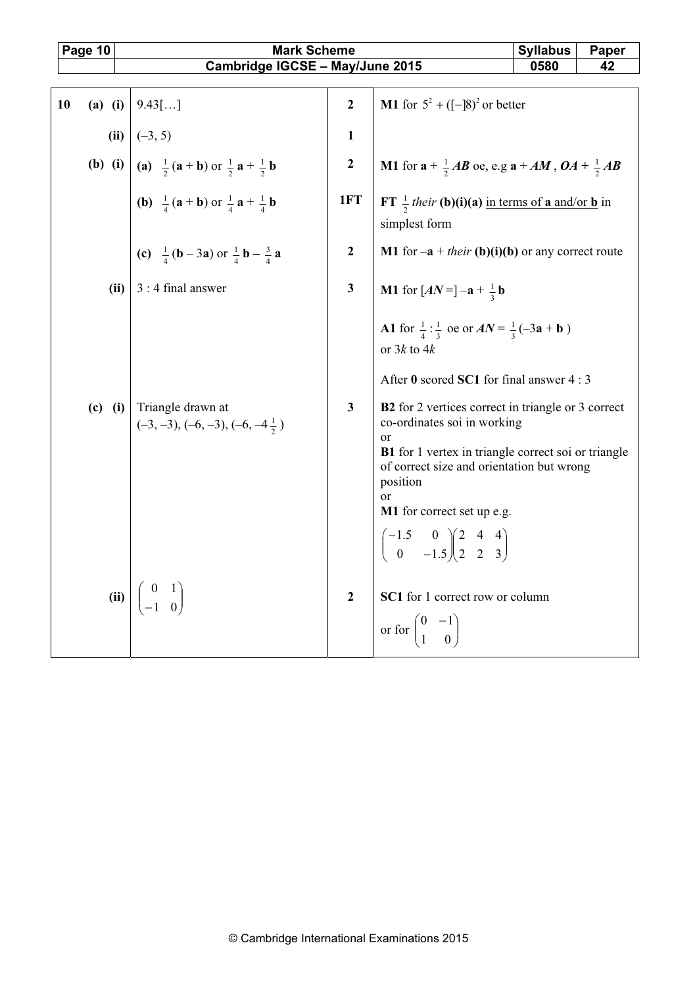| Page 10 |           | <b>Mark Scheme</b>                                                                                  |                |                                                                                                                                                                                                                                                                                                                                                                                                                | <b>Syllabus</b> | Paper |  |  |  |  |
|---------|-----------|-----------------------------------------------------------------------------------------------------|----------------|----------------------------------------------------------------------------------------------------------------------------------------------------------------------------------------------------------------------------------------------------------------------------------------------------------------------------------------------------------------------------------------------------------------|-----------------|-------|--|--|--|--|
|         |           | Cambridge IGCSE - May/June 2015                                                                     |                |                                                                                                                                                                                                                                                                                                                                                                                                                | 0580            | 42    |  |  |  |  |
|         |           |                                                                                                     |                |                                                                                                                                                                                                                                                                                                                                                                                                                |                 |       |  |  |  |  |
| 10      | $(a)$ (i) | $9.43$ []                                                                                           | $\overline{2}$ | <b>M1</b> for $5^2 + ([-]8)^2$ or better                                                                                                                                                                                                                                                                                                                                                                       |                 |       |  |  |  |  |
|         |           | (ii) $(-3, 5)$                                                                                      | $\mathbf{1}$   |                                                                                                                                                                                                                                                                                                                                                                                                                |                 |       |  |  |  |  |
|         |           | <b>(b)</b> (i) $\int$ (a) $\frac{1}{2}$ (a + b) or $\frac{1}{2}$ a + $\frac{1}{2}$ b                | $\bf 2$        | <b>M1</b> for $a + \frac{1}{2}AB$ oe, e.g $a + AM$ , $OA + \frac{1}{2}AB$                                                                                                                                                                                                                                                                                                                                      |                 |       |  |  |  |  |
|         |           | <b>(b)</b> $\frac{1}{4}$ ( <b>a</b> + <b>b</b> ) or $\frac{1}{4}$ <b>a</b> + $\frac{1}{4}$ <b>b</b> | 1FT            | FT $\frac{1}{2}$ their (b)(i)(a) in terms of a and/or b in<br>simplest form                                                                                                                                                                                                                                                                                                                                    |                 |       |  |  |  |  |
|         |           | (c) $\frac{1}{4}$ (b – 3a) or $\frac{1}{4}$ b – $\frac{3}{4}$ a                                     | $\overline{2}$ | <b>M1</b> for $-a + their$ (b)(i)(b) or any correct route                                                                                                                                                                                                                                                                                                                                                      |                 |       |  |  |  |  |
|         | (ii)      | 3 : 4 final answer                                                                                  | $\mathbf{3}$   | <b>M1</b> for $[AN = ]-a + \frac{1}{2}b$                                                                                                                                                                                                                                                                                                                                                                       |                 |       |  |  |  |  |
|         |           | (c) (i) $\vert$ Triangle drawn at<br>$(-3, -3), (-6, -3), (-6, -4\frac{1}{2})$                      | $\mathbf{3}$   | A1 for $\frac{1}{4}$ : $\frac{1}{3}$ oe or $AN = \frac{1}{3}(-3a + b)$<br>or $3k$ to $4k$<br>After 0 scored SC1 for final answer 4 : 3<br><b>B2</b> for 2 vertices correct in triangle or 3 correct<br>co-ordinates soi in working<br>or<br><b>B1</b> for 1 vertex in triangle correct soi or triangle<br>of correct size and orientation but wrong<br>position<br><sub>or</sub><br>M1 for correct set up e.g. |                 |       |  |  |  |  |
|         | (ii)      |                                                                                                     | $\mathbf{2}$   | $\begin{pmatrix} -1.5 & 0 \\ 0 & -1.5 \end{pmatrix} \begin{pmatrix} 2 & 4 & 4 \\ 2 & 2 & 3 \end{pmatrix}$<br>SC1 for 1 correct row or column<br>or for $\begin{pmatrix} 0 & -1 \\ 1 & 0 \end{pmatrix}$                                                                                                                                                                                                         |                 |       |  |  |  |  |